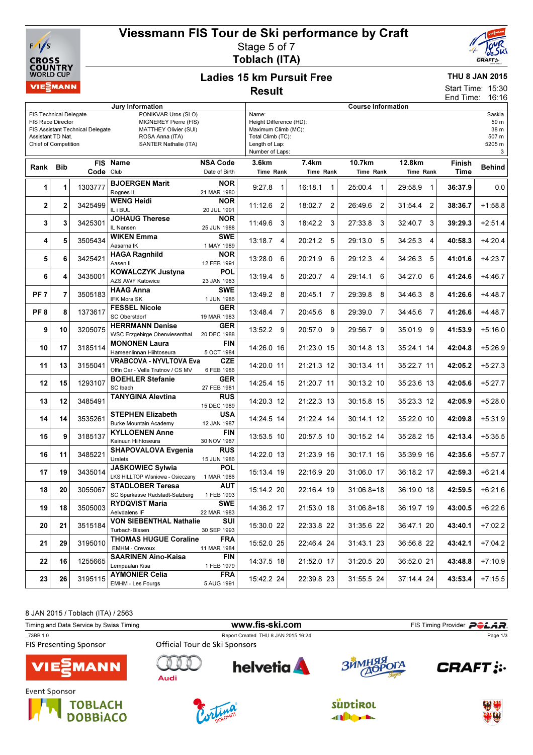

# Viessmann FIS Tour de Ski performance by Craft Stage 5 of 7

Toblach (ITA)



### Ladies 15 km Pursuit Free Result

## THU 8 JAN 2015

15:30 16:16 Start Time: End Time:

| Jury Information                                                                                                                                                                                                                                                |                |           |                                                                              |                                  | <b>Course Information</b>                                                                                         |                           |                           |                           |                |                                                |
|-----------------------------------------------------------------------------------------------------------------------------------------------------------------------------------------------------------------------------------------------------------------|----------------|-----------|------------------------------------------------------------------------------|----------------------------------|-------------------------------------------------------------------------------------------------------------------|---------------------------|---------------------------|---------------------------|----------------|------------------------------------------------|
| <b>FIS Technical Delegate</b><br>PONIKVAR Uros (SLO)<br><b>FIS Race Director</b><br>MIGNEREY Pierre (FIS)<br>FIS Assistant Technical Delegate<br>MATTHEY Olivier (SUI)<br>ROSA Anna (ITA)<br>Assistant TD Nat.<br>SANTER Nathalie (ITA)<br>Chief of Competition |                |           |                                                                              |                                  | Name:<br>Height Difference (HD):<br>Maximum Climb (MC):<br>Total Climb (TC):<br>Length of Lap:<br>Number of Laps: |                           |                           |                           |                | Saskia<br>59 m<br>38 m<br>507 m<br>5205 m<br>3 |
| Rank Bib                                                                                                                                                                                                                                                        |                | Code Club | FIS Name                                                                     | <b>NSA Code</b><br>Date of Birth | 3.6km<br>Time Rank                                                                                                | 7.4km<br>Time Rank        | 10.7km<br>Time Rank       | 12.8km<br>Time Rank       | Finish<br>Time | <b>Behind</b>                                  |
| 1                                                                                                                                                                                                                                                               | 1              | 1303777   | <b>BJOERGEN Marit</b><br>Rognes IL                                           | <b>NOR</b><br>21 MAR 1980        | 9:27.8<br>$\overline{1}$                                                                                          | 16:18.1<br>$\mathbf{1}$   | 25:00.4<br>$\mathbf{1}$   | 29:58.9 1                 | 36:37.9        | 0.0                                            |
| 2                                                                                                                                                                                                                                                               | $\overline{2}$ | 3425499   | <b>WENG Heidi</b><br>IL i BUL                                                | <b>NOR</b><br>20 JUL 1991        | 11:12.6<br>$\overline{2}$                                                                                         | 18:02.7<br>$\overline{2}$ | 26:49.6<br>$\overline{2}$ | 31:54.4<br>$\overline{2}$ | 38:36.7        | $+1:58.8$                                      |
| 3                                                                                                                                                                                                                                                               | 3              | 3425301   | <b>JOHAUG Therese</b><br>IL Nansen                                           | <b>NOR</b><br>25 JUN 1988        | 11:49.6 3                                                                                                         | 18:42.2 3                 | 27:33.8<br>3              | 32:40.7 3                 | 39:29.3        | $+2:51.4$                                      |
| 4                                                                                                                                                                                                                                                               | 5              | 3505434   | <b>WIKEN Emma</b><br>Aasama IK                                               | <b>SWE</b><br>1 MAY 1989         | $13:18.7$ 4                                                                                                       | 20:21.2 5                 | 29:13.0<br>5              | 34:25.3 4                 | 40:58.3        | $+4:20.4$                                      |
| 5                                                                                                                                                                                                                                                               | 6              | 3425421   | <b>HAGA Ragnhild</b><br>Aasen IL                                             | <b>NOR</b><br>12 FEB 1991        | 13:28.0<br>6                                                                                                      | 20:21.9<br>6              | 29:12.3<br>4              | 34:26.3 5                 | 41:01.6        | $+4:23.7$                                      |
| 6                                                                                                                                                                                                                                                               | 4              | 3435001   | KOWALCZYK Justyna<br><b>AZS AWF Katowice</b>                                 | <b>POL</b><br>23 JAN 1983        | 13:19.4 5                                                                                                         | 20:20.7 4                 | 29:14.1<br>6              | 34:27.0 6                 | 41:24.6        | $+4:46.7$                                      |
| PF <sub>7</sub>                                                                                                                                                                                                                                                 | $\overline{7}$ | 3505183   | <b>HAAG Anna</b><br>IFK Mora SK                                              | <b>SWE</b><br>1 JUN 1986         | 13:49.2 8                                                                                                         | 20:45.1<br>- 7            | 29:39.8<br>8              | 34:46.3 8                 | 41:26.6        | $+4:48.7$                                      |
| PF <sub>8</sub>                                                                                                                                                                                                                                                 | 8              | 1373617   | <b>FESSEL Nicole</b><br>SC Oberstdorf                                        | GER<br>19 MAR 1983               | 13:48.4<br>7                                                                                                      | 20:45.6<br>8              | 29:39.0<br>7              | 34:45.6 7                 | 41:26.6        | $+4:48.7$                                      |
| 9                                                                                                                                                                                                                                                               | 10             | 3205075   | <b>HERRMANN Denise</b><br><b>WSC Erzgebirge Oberwiesenthal</b>               | <b>GER</b><br>20 DEC 1988        | 13:52.2 9                                                                                                         | 20:57.0<br>9              | 29:56.7<br>9              | 35:01.9 9                 | 41:53.9        | $+5:16.0$                                      |
| 10                                                                                                                                                                                                                                                              | 17             | 3185114   | <b>MONONEN Laura</b><br>Hameenlinnan Hiihtoseura                             | <b>FIN</b><br>5 OCT 1984         | 14:26.0 16                                                                                                        | 21:23.0 15                | 30:14.8 13                | 35:24.1 14                | 42:04.8        | $+5:26.9$                                      |
| 11                                                                                                                                                                                                                                                              | 13             | 3155041   | <b>VRABCOVA - NYVLTOVA Eva</b><br>Olfin Car - Vella Trutnov / CS MV          | <b>CZE</b><br>6 FEB 1986         | 14:20.0 11                                                                                                        | 21:21.3 12                | 30:13.4 11                | 35:22.7 11                | 42:05.2        | $+5:27.3$                                      |
| 12                                                                                                                                                                                                                                                              | 15             | 1293107   | <b>BOEHLER Stefanie</b><br>SC Ibach                                          | <b>GER</b><br>27 FEB 1981        | 14:25.4 15                                                                                                        | 21:20.7 11                | 30:13.2 10                | 35:23.6 13                | 42:05.6        | $+5:27.7$                                      |
| 13                                                                                                                                                                                                                                                              | 12             | 3485491   | <b>TANYGINA Alevtina</b>                                                     | <b>RUS</b><br>15 DEC 1989        | 14:20.3 12                                                                                                        | 21:22.3 13                | 30:15.8 15                | 35:23.3 12                | 42:05.9        | $+5:28.0$                                      |
| 14                                                                                                                                                                                                                                                              | 14             | 3535261   | <b>STEPHEN Elizabeth</b><br><b>Burke Mountain Academy</b>                    | <b>USA</b><br>12 JAN 1987        | 14:24.5 14                                                                                                        | 21:22.4 14                | 30:14.1 12                | 35:22.0 10                | 42:09.8        | $+5:31.9$                                      |
| 15                                                                                                                                                                                                                                                              | 9              | 3185137   | <b>KYLLOENEN Anne</b><br>Kainuun Hiihtoseura                                 | <b>FIN</b><br>30 NOV 1987        | 13:53.5 10                                                                                                        | 20:57.5 10                | 30:15.2 14                | 35:28.2 15                | 42:13.4        | $+5:35.5$                                      |
| 16                                                                                                                                                                                                                                                              | 11             | 3485221   | <b>SHAPOVALOVA Evgenia</b><br>Uralets                                        | <b>RUS</b><br>15 JUN 1986        | 14:22.0 13                                                                                                        | 21:23.9 16                | 30:17.1 16                | 35:39.9 16                | 42:35.6        | $+5:57.7$                                      |
| 17                                                                                                                                                                                                                                                              | 19             | 3435014   | <b>JASKOWIEC Sylwia</b><br>LKS HILLTOP Wisniowa - Osieczany                  | <b>POL</b><br>1 MAR 1986         | 15:13.4 19                                                                                                        | 22:16.9 20                | 31:06.0 17                | 36:18.2 17                | 42:59.3        | $+6:21.4$                                      |
| 18                                                                                                                                                                                                                                                              | 20             | 3055067   | <b>STADLOBER Teresa</b><br>SC Sparkasse Radstadt-Salzburg                    | <b>AUT</b><br>1 FEB 1993         | 15:14.2 20                                                                                                        | 22:16.4 19                | $31:06.8=18$              | 36:19.0 18                | 42:59.5        | $+6:21.6$                                      |
| 19                                                                                                                                                                                                                                                              | 18             | 3505003   | <b>RYDQVIST Maria</b><br>Aelvdalens IF                                       | <b>SWE</b><br>22 MAR 1983        | 14:36.2 17                                                                                                        | 21:53.0 18                | $31:06.8=18$              | 36:19.7 19                | 43:00.5        | $+6:22.6$                                      |
| 20                                                                                                                                                                                                                                                              | 21             | 3515184   | <b>VON SIEBENTHAL Nathalie</b><br>Turbach-Bissen                             | SUI<br>30 SEP 1993               | 15:30.0 22                                                                                                        | 22:33.8 22                | 31:35.6 22                | 36:47.1 20                | 43:40.1        | $+7:02.2$                                      |
| 21                                                                                                                                                                                                                                                              | 29             | 3195010   | <b>THOMAS HUGUE Coraline</b><br>EMHM - Crevoux<br><b>SAARINEN Aino-Kaisa</b> | <b>FRA</b><br>11 MAR 1984        | 15:52.0 25                                                                                                        | 22:46.4 24                | 31:43.1 23                | 36:56.8 22                | 43:42.1        | $+7:04.2$                                      |
| 22                                                                                                                                                                                                                                                              | 16             | 1255665   | Lempaalan Kisa                                                               | <b>FIN</b><br>1 FEB 1979         | 14:37.5 18                                                                                                        | 21:52.0 17                | 31:20.5 20                | 36:52.0 21                | 43:48.8        | $+7:10.9$                                      |
| 23                                                                                                                                                                                                                                                              | 26             | 3195115   | <b>AYMONIER Celia</b><br>EMHM - Les Fourgs                                   | <b>FRA</b><br>5 AUG 1991         | 15:42.2 24                                                                                                        | 22:39.8 23                | 31:55.5 24                | 37:14.4 24                | 43:53.4        | $+7:15.5$                                      |

8 JAN 2015 / Toblach (ITA) / 2563

| Timing and Data Service by Swiss Timing   |                               |                                     | FIS Timing Provider <b>POLAR</b> |               |  |
|-------------------------------------------|-------------------------------|-------------------------------------|----------------------------------|---------------|--|
| 73BB 1.0<br><b>FIS Presenting Sponsor</b> | Official Tour de Ski Sponsors | Report Created THU 8 JAN 2015 16:24 |                                  | Page 1/3      |  |
| <b>VIE</b> MANN                           | Audi                          | <b>helvetia</b>                     | ЗЙМНЯЯ ОГА                       | <b>CRAFT:</b> |  |
| Event Sponsor<br>TORI ACH                 |                               |                                     | $rin+ion$                        | 229 325       |  |







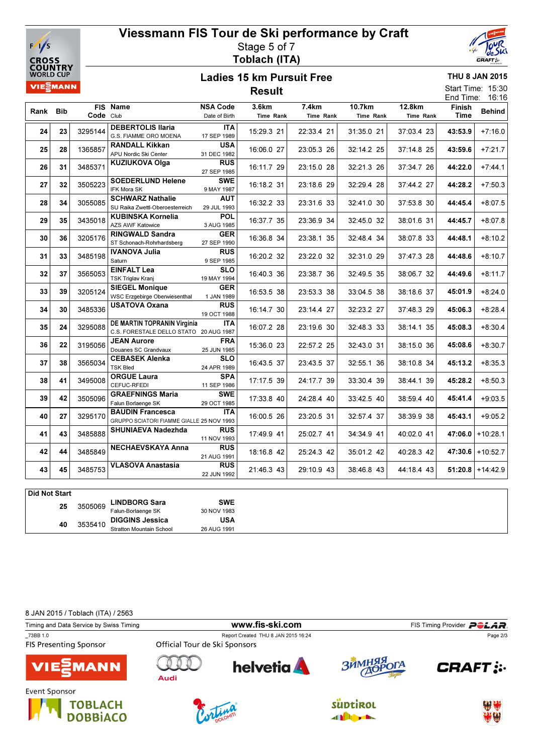

# Viessmann FIS Tour de Ski performance by Craft Stage 5 of 7 Toblach (ITA)



THU 8 JAN 2015 Start Time: 15:30

#### Ladies 15 km Pursuit Free Result

|      | End Time:<br>16:16 |            |                                                                       |                           |            |            |            |            |         |                    |  |
|------|--------------------|------------|-----------------------------------------------------------------------|---------------------------|------------|------------|------------|------------|---------|--------------------|--|
|      |                    | <b>FIS</b> | Name                                                                  | <b>NSA Code</b>           | 3.6km      | 7.4km      | 10.7km     | 12.8km     | Finish  | <b>Behind</b>      |  |
| Rank | <b>Bib</b>         | Code Club  |                                                                       | Date of Birth             | Time Rank  | Time Rank  | Time Rank  | Time Rank  | Time    |                    |  |
| 24   | 23                 | 3295144    | <b>DEBERTOLIS Ilaria</b><br>G.S. FIAMME ORO MOENA                     | <b>ITA</b><br>17 SEP 1989 | 15:29.3 21 | 22:33.4 21 | 31:35.0 21 | 37:03.4 23 | 43:53.9 | $+7:16.0$          |  |
| 25   | 28                 | 1365857    | <b>RANDALL Kikkan</b><br>APU Nordic Ski Center                        | <b>USA</b><br>31 DEC 1982 | 16:06.0 27 | 23:05.3 26 | 32:14.2 25 | 37:14.8 25 | 43:59.6 | $+7:21.7$          |  |
| 26   | 31                 | 3485371    | KUZIUKOVA Olga                                                        | <b>RUS</b><br>27 SEP 1985 | 16:11.7 29 | 23:15.0 28 | 32:21.3 26 | 37:34.7 26 | 44:22.0 | $+7:44.1$          |  |
| 27   | 32                 | 3505223    | <b>SOEDERLUND Helene</b><br><b>IFK Mora SK</b>                        | <b>SWE</b><br>9 MAY 1987  | 16:18.2 31 | 23:18.6 29 | 32:29.4 28 | 37:44.2 27 | 44:28.2 | $+7:50.3$          |  |
| 28   | 34                 | 3055085    | <b>SCHWARZ Nathalie</b><br>SU Raika Zwettl-Oberoesterreich            | <b>AUT</b><br>29 JUL 1993 | 16:32.2 33 | 23:31.6 33 | 32:41.0 30 | 37:53.8 30 | 44:45.4 | $+8:07.5$          |  |
| 29   | 35                 | 3435018    | <b>KUBINSKA Kornelia</b><br><b>AZS AWF Katowice</b>                   | <b>POL</b><br>3 AUG 1985  | 16:37.7 35 | 23:36.9 34 | 32:45.0 32 | 38:01.6 31 | 44:45.7 | $+8:07.8$          |  |
| 30   | 36                 | 3205176    | <b>RINGWALD Sandra</b><br>ST Schonach-Rohrhardsberg                   | <b>GER</b><br>27 SEP 1990 | 16:36.8 34 | 23:38.1 35 | 32:48.4 34 | 38:07.8 33 | 44:48.1 | $+8:10.2$          |  |
| 31   | 33                 | 3485198    | <b>IVANOVA Julia</b><br>Saturn                                        | <b>RUS</b><br>9 SEP 1985  | 16:20.2 32 | 23:22.0 32 | 32:31.0 29 | 37:47.3 28 | 44:48.6 | $+8:10.7$          |  |
| 32   | 37                 | 3565053    | <b>EINFALT Lea</b><br><b>TSK Triglav Kranj</b>                        | <b>SLO</b><br>19 MAY 1994 | 16:40.3 36 | 23:38.7 36 | 32:49.5 35 | 38:06.7 32 | 44:49.6 | $+8:11.7$          |  |
| 33   | 39                 | 3205124    | <b>SIEGEL Monique</b><br><b>WSC Erzgebirge Oberwiesenthal</b>         | <b>GER</b><br>1 JAN 1989  | 16:53.5 38 | 23:53.3 38 | 33:04.5 38 | 38:18.6 37 | 45:01.9 | $+8:24.0$          |  |
| 34   | 30                 | 3485336    | <b>USATOVA Oxana</b>                                                  | <b>RUS</b><br>19 OCT 1988 | 16:14.7 30 | 23:14.4 27 | 32:23.2 27 | 37:48.3 29 | 45:06.3 | $+8:28.4$          |  |
| 35   | 24                 | 3295088    | DE MARTIN TOPRANIN Virginia<br>C.S. FORESTALE DELLO STATO 20 AUG 1987 | <b>ITA</b>                | 16:07.2 28 | 23:19.6 30 | 32:48.3 33 | 38:14.1 35 | 45:08.3 | $+8:30.4$          |  |
| 36   | 22                 | 3195056    | <b>JEAN Aurore</b><br>Douanes SC Grandvaux                            | FRA<br>25 JUN 1985        | 15:36.0 23 | 22:57.2 25 | 32:43.0 31 | 38:15.0 36 | 45:08.6 | $+8:30.7$          |  |
| 37   | 38                 | 3565034    | <b>CEBASEK Alenka</b><br><b>TSK Bled</b>                              | <b>SLO</b><br>24 APR 1989 | 16:43.5 37 | 23:43.5 37 | 32:55.1 36 | 38:10.8 34 | 45:13.2 | $+8:35.3$          |  |
| 38   | 41                 | 3495008    | <b>ORGUE Laura</b><br>CEFUC-RFEDI                                     | <b>SPA</b><br>11 SEP 1986 | 17:17.5 39 | 24:17.7 39 | 33:30.4 39 | 38:44.1 39 | 45:28.2 | $+8:50.3$          |  |
| 39   | 42                 | 3505096    | <b>GRAEFNINGS Maria</b><br>Falun Borlaenge SK                         | <b>SWE</b><br>29 OCT 1985 | 17:33.8 40 | 24:28.4 40 | 33:42.5 40 | 38:59.4 40 | 45:41.4 | $+9:03.5$          |  |
| 40   | 27                 | 3295170    | <b>BAUDIN Francesca</b><br>GRUPPO SCIATORI FIAMME GIALLE 25 NOV 1993  | <b>ITA</b>                | 16:00.5 26 | 23:20.5 31 | 32:57.4 37 | 38:39.9 38 | 45:43.1 | $+9:05.2$          |  |
| 41   | 43                 | 3485888    | SHUNIAEVA Nadezhda                                                    | <b>RUS</b><br>11 NOV 1993 | 17:49.9 41 | 25:02.7 41 | 34:34.9 41 | 40:02.0 41 | 47:06.0 | $+10:28.1$         |  |
| 42   | 44                 | 3485849    | <b>NECHAEVSKAYA Anna</b>                                              | <b>RUS</b><br>21 AUG 1991 | 18:16.8 42 | 25:24.3 42 | 35:01.2 42 | 40:28.3 42 |         | $47:30.6$ +10:52.7 |  |
| 43   | 45                 | 3485753    | <b>VLASOVA Anastasia</b>                                              | <b>RUS</b><br>22 JUN 1992 | 21:46.3 43 | 29:10.9 43 | 38:46.8 43 | 44:18.4 43 | 51:20.8 | $+14:42.9$         |  |
|      | Did Not Ctost      |            |                                                                       |                           |            |            |            |            |         |                    |  |

| ∣ Did Not Start |    |         |                                 |             |
|-----------------|----|---------|---------------------------------|-------------|
|                 | 25 | 3505069 | <b>LINDBORG Sara</b>            | SWE         |
|                 |    |         | Falun-Borlaenge SK              | 30 NOV 1983 |
|                 | 40 | 3535410 | <b>DIGGINS Jessica</b>          | <b>USA</b>  |
|                 |    |         | <b>Stratton Mountain School</b> | 26 AUG 1991 |

8 JAN 2015 / Toblach (ITA) / 2563

| Timing and Data Service by Swiss Timing      |                               |                                     | FIS Timing Provider <b>POLAR</b> . |               |  |
|----------------------------------------------|-------------------------------|-------------------------------------|------------------------------------|---------------|--|
| 73BB 1.0<br><b>FIS Presenting Sponsor</b>    | Official Tour de Ski Sponsors | Report Created THU 8 JAN 2015 16:24 |                                    | Page 2/3      |  |
| <b>VIE EMANN</b>                             | Audi                          | <b>helvetia</b>                     | ЗЙМНЯЯ ОГА                         | <b>CRAFT:</b> |  |
| Event Sponsor<br><b>TOBLACH<br/>DOBBIACO</b> |                               |                                     | suptirol                           |               |  |